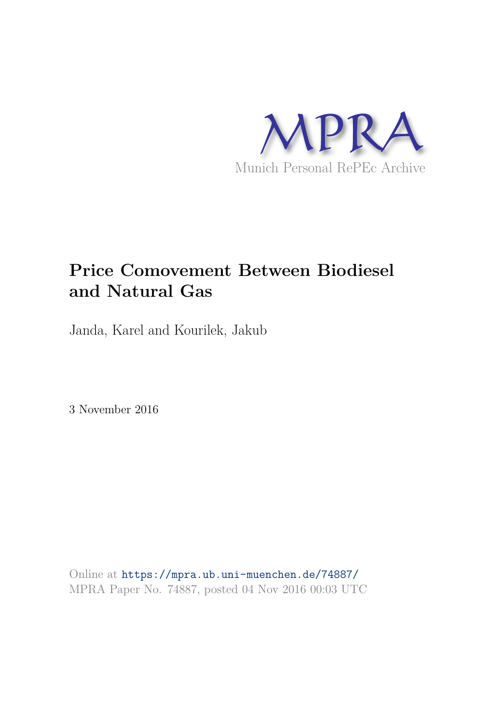

# **Price Comovement Between Biodiesel and Natural Gas**

Janda, Karel and Kourilek, Jakub

3 November 2016

Online at https://mpra.ub.uni-muenchen.de/74887/ MPRA Paper No. 74887, posted 04 Nov 2016 00:03 UTC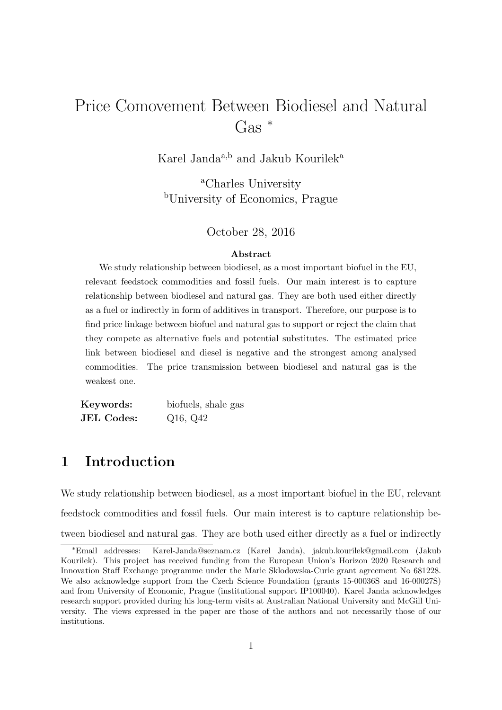# Price Comovement Between Biodiesel and Natural Gas <sup>∗</sup>

Karel Janda $a,b}$  and Jakub Kourileka $\,$ 

<sup>a</sup>Charles University <sup>b</sup>University of Economics, Prague

October 28, 2016

#### Abstract

We study relationship between biodiesel, as a most important biofuel in the EU, relevant feedstock commodities and fossil fuels. Our main interest is to capture relationship between biodiesel and natural gas. They are both used either directly as a fuel or indirectly in form of additives in transport. Therefore, our purpose is to find price linkage between biofuel and natural gas to support or reject the claim that they compete as alternative fuels and potential substitutes. The estimated price link between biodiesel and diesel is negative and the strongest among analysed commodities. The price transmission between biodiesel and natural gas is the weakest one.

Keywords: biofuels, shale gas JEL Codes: Q16, Q42

## 1 Introduction

We study relationship between biodiesel, as a most important biofuel in the EU, relevant feedstock commodities and fossil fuels. Our main interest is to capture relationship between biodiesel and natural gas. They are both used either directly as a fuel or indirectly

<sup>∗</sup>Email addresses: Karel-Janda@seznam.cz (Karel Janda), jakub.kourilek@gmail.com (Jakub Kourilek). This project has received funding from the European Union's Horizon 2020 Research and Innovation Staff Exchange programme under the Marie Sklodowska-Curie grant agreement No 681228. We also acknowledge support from the Czech Science Foundation (grants 15-00036S and 16-00027S) and from University of Economic, Prague (institutional support IP100040). Karel Janda acknowledges research support provided during his long-term visits at Australian National University and McGill University. The views expressed in the paper are those of the authors and not necessarily those of our institutions.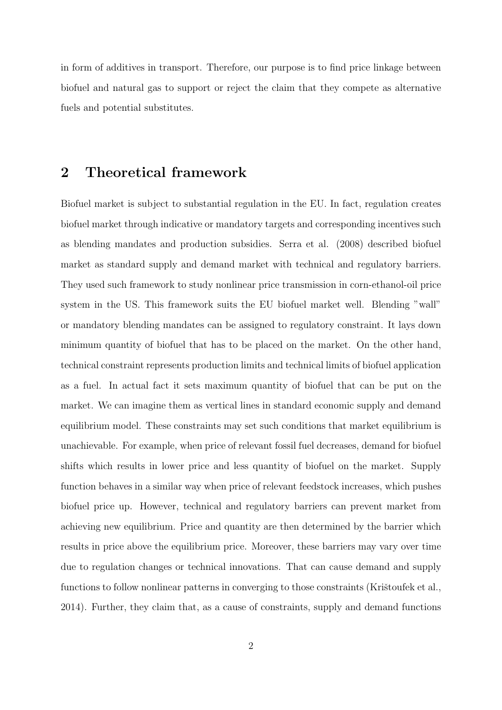in form of additives in transport. Therefore, our purpose is to find price linkage between biofuel and natural gas to support or reject the claim that they compete as alternative fuels and potential substitutes.

### 2 Theoretical framework

Biofuel market is subject to substantial regulation in the EU. In fact, regulation creates biofuel market through indicative or mandatory targets and corresponding incentives such as blending mandates and production subsidies. Serra et al. (2008) described biofuel market as standard supply and demand market with technical and regulatory barriers. They used such framework to study nonlinear price transmission in corn-ethanol-oil price system in the US. This framework suits the EU biofuel market well. Blending "wall" or mandatory blending mandates can be assigned to regulatory constraint. It lays down minimum quantity of biofuel that has to be placed on the market. On the other hand, technical constraint represents production limits and technical limits of biofuel application as a fuel. In actual fact it sets maximum quantity of biofuel that can be put on the market. We can imagine them as vertical lines in standard economic supply and demand equilibrium model. These constraints may set such conditions that market equilibrium is unachievable. For example, when price of relevant fossil fuel decreases, demand for biofuel shifts which results in lower price and less quantity of biofuel on the market. Supply function behaves in a similar way when price of relevant feedstock increases, which pushes biofuel price up. However, technical and regulatory barriers can prevent market from achieving new equilibrium. Price and quantity are then determined by the barrier which results in price above the equilibrium price. Moreover, these barriers may vary over time due to regulation changes or technical innovations. That can cause demand and supply functions to follow nonlinear patterns in converging to those constraints (Kristoufek et al., 2014). Further, they claim that, as a cause of constraints, supply and demand functions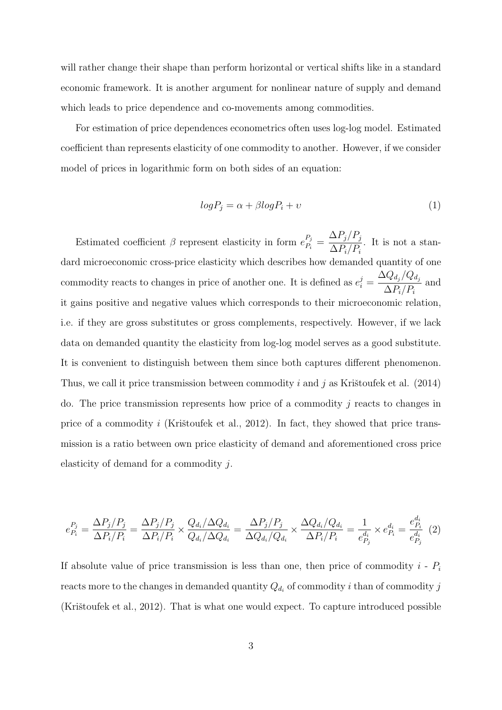will rather change their shape than perform horizontal or vertical shifts like in a standard economic framework. It is another argument for nonlinear nature of supply and demand which leads to price dependence and co-movements among commodities.

For estimation of price dependences econometrics often uses log-log model. Estimated coefficient than represents elasticity of one commodity to another. However, if we consider model of prices in logarithmic form on both sides of an equation:

$$
log P_j = \alpha + \beta log P_i + v \tag{1}
$$

Estimated coefficient  $\beta$  represent elasticity in form  $e_{P_i}^{P_j} =$  $\Delta P_j/P_j$  $\Delta P_i/P_i$ . It is not a standard microeconomic cross-price elasticity which describes how demanded quantity of one commodity reacts to changes in price of another one. It is defined as  $e_i^j =$  $\Delta Q_{d_j}/Q_{d_j}$  $\Delta P_i/P_i$ and it gains positive and negative values which corresponds to their microeconomic relation, i.e. if they are gross substitutes or gross complements, respectively. However, if we lack data on demanded quantity the elasticity from log-log model serves as a good substitute. It is convenient to distinguish between them since both captures different phenomenon. Thus, we call it price transmission between commodity i and j as Kristoufek et al.  $(2014)$ do. The price transmission represents how price of a commodity  $j$  reacts to changes in price of a commodity i (Krištoufek et al., 2012). In fact, they showed that price transmission is a ratio between own price elasticity of demand and aforementioned cross price elasticity of demand for a commodity j.

$$
e_{P_i}^{P_j} = \frac{\Delta P_j / P_j}{\Delta P_i / P_i} = \frac{\Delta P_j / P_j}{\Delta P_i / P_i} \times \frac{Q_{d_i} / \Delta Q_{d_i}}{Q_{d_i} / \Delta Q_{d_i}} = \frac{\Delta P_j / P_j}{\Delta Q_{d_i} / Q_{d_i}} \times \frac{\Delta Q_{d_i} / Q_{d_i}}{\Delta P_i / P_i} = \frac{1}{e_{P_j}^{d_i}} \times e_{P_i}^{d_i} = \frac{e_{P_i}^{d_i}}{e_{P_j}^{d_i}} \tag{2}
$$

If absolute value of price transmission is less than one, then price of commodity  $i$  -  $P_i$ reacts more to the changes in demanded quantity  $Q_{d_i}$  of commodity i than of commodity j (Krištoufek et al., 2012). That is what one would expect. To capture introduced possible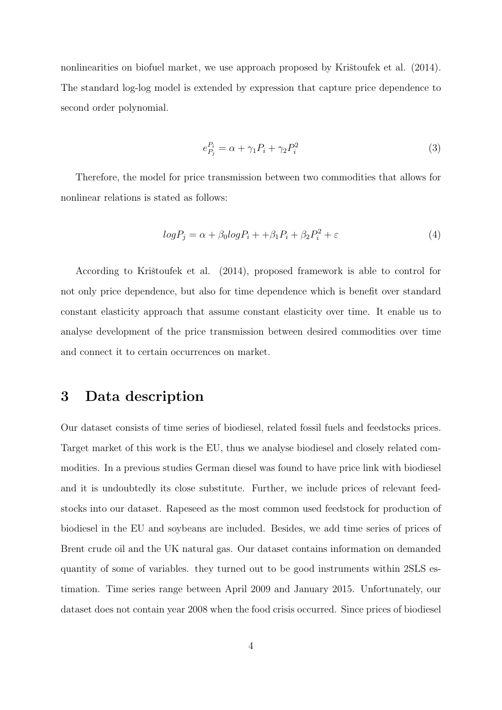nonlinearities on biofuel market, we use approach proposed by Kristoufek et al. (2014). The standard log-log model is extended by expression that capture price dependence to second order polynomial.

$$
e_{P_j}^{P_i} = \alpha + \gamma_1 P_i + \gamma_2 P_i^2 \tag{3}
$$

Therefore, the model for price transmission between two commodities that allows for nonlinear relations is stated as follows:

$$
log P_j = \alpha + \beta_0 log P_i + \beta_1 P_i + \beta_2 P_i^2 + \varepsilon \tag{4}
$$

According to Krištoufek et al. (2014), proposed framework is able to control for not only price dependence, but also for time dependence which is benefit over standard constant elasticity approach that assume constant elasticity over time. It enable us to analyse development of the price transmission between desired commodities over time and connect it to certain occurrences on market.

## 3 Data description

Our dataset consists of time series of biodiesel, related fossil fuels and feedstocks prices. Target market of this work is the EU, thus we analyse biodiesel and closely related commodities. In a previous studies German diesel was found to have price link with biodiesel and it is undoubtedly its close substitute. Further, we include prices of relevant feedstocks into our dataset. Rapeseed as the most common used feedstock for production of biodiesel in the EU and soybeans are included. Besides, we add time series of prices of Brent crude oil and the UK natural gas. Our dataset contains information on demanded quantity of some of variables. they turned out to be good instruments within 2SLS estimation. Time series range between April 2009 and January 2015. Unfortunately, our dataset does not contain year 2008 when the food crisis occurred. Since prices of biodiesel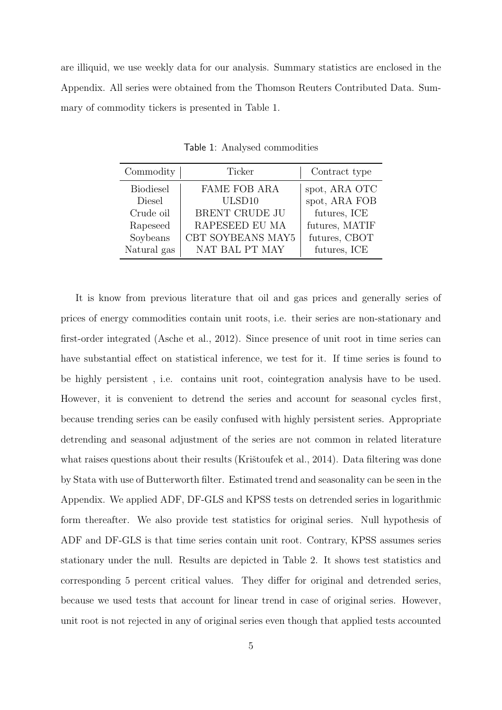are illiquid, we use weekly data for our analysis. Summary statistics are enclosed in the Appendix. All series were obtained from the Thomson Reuters Contributed Data. Summary of commodity tickers is presented in Table 1.

| Commodity        | Ticker              | Contract type  |
|------------------|---------------------|----------------|
| <b>Biodiesel</b> | <b>FAME FOB ARA</b> | spot, ARA OTC  |
| Diesel           | ULSD10              | spot, ARA FOB  |
| Crude oil        | BRENT CRUDE JU      | futures, ICE   |
| Rapeseed         | RAPESEED EU MA      | futures, MATIF |
| Soybeans         | CBT SOYBEANS MAY5   | futures, CBOT  |
| Natural gas      | NAT BAL PT MAY      | futures, ICE   |

Table 1: Analysed commodities

It is know from previous literature that oil and gas prices and generally series of prices of energy commodities contain unit roots, i.e. their series are non-stationary and first-order integrated (Asche et al., 2012). Since presence of unit root in time series can have substantial effect on statistical inference, we test for it. If time series is found to be highly persistent , i.e. contains unit root, cointegration analysis have to be used. However, it is convenient to detrend the series and account for seasonal cycles first, because trending series can be easily confused with highly persistent series. Appropriate detrending and seasonal adjustment of the series are not common in related literature what raises questions about their results (Krištoufek et al., 2014). Data filtering was done by Stata with use of Butterworth filter. Estimated trend and seasonality can be seen in the Appendix. We applied ADF, DF-GLS and KPSS tests on detrended series in logarithmic form thereafter. We also provide test statistics for original series. Null hypothesis of ADF and DF-GLS is that time series contain unit root. Contrary, KPSS assumes series stationary under the null. Results are depicted in Table 2. It shows test statistics and corresponding 5 percent critical values. They differ for original and detrended series, because we used tests that account for linear trend in case of original series. However, unit root is not rejected in any of original series even though that applied tests accounted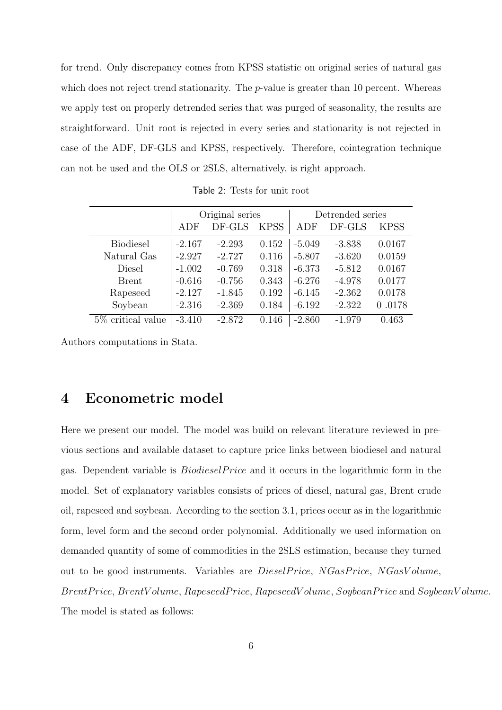for trend. Only discrepancy comes from KPSS statistic on original series of natural gas which does not reject trend stationarity. The *p*-value is greater than 10 percent. Whereas we apply test on properly detrended series that was purged of seasonality, the results are straightforward. Unit root is rejected in every series and stationarity is not rejected in case of the ADF, DF-GLS and KPSS, respectively. Therefore, cointegration technique can not be used and the OLS or 2SLS, alternatively, is right approach.

|                      | Original series |          | Detrended series |          |          |             |
|----------------------|-----------------|----------|------------------|----------|----------|-------------|
|                      | ADF             | DF-GLS   | <b>KPSS</b>      | ADF      | DF-GLS   | <b>KPSS</b> |
| <b>Biodiesel</b>     | $-2.167$        | $-2.293$ | 0.152            | $-5.049$ | $-3.838$ | 0.0167      |
| Natural Gas          | $-2.927$        | $-2.727$ | 0.116            | $-5.807$ | $-3.620$ | 0.0159      |
| Diesel               | $-1.002$        | $-0.769$ | 0.318            | $-6.373$ | $-5.812$ | 0.0167      |
| Brent                | $-0.616$        | $-0.756$ | 0.343            | $-6.276$ | $-4.978$ | 0.0177      |
| Rapeseed             | $-2.127$        | $-1.845$ | 0.192            | $-6.145$ | $-2.362$ | 0.0178      |
| Soybean              | $-2.316$        | $-2.369$ | 0.184            | $-6.192$ | $-2.322$ | 0.0178      |
| $5\%$ critical value | $-3.410$        | $-2.872$ | 0.146            | $-2.860$ | $-1.979$ | 0.463       |

Table 2: Tests for unit root

Authors computations in Stata.

### 4 Econometric model

Here we present our model. The model was build on relevant literature reviewed in previous sections and available dataset to capture price links between biodiesel and natural gas. Dependent variable is *BiodieselPrice* and it occurs in the logarithmic form in the model. Set of explanatory variables consists of prices of diesel, natural gas, Brent crude oil, rapeseed and soybean. According to the section 3.1, prices occur as in the logarithmic form, level form and the second order polynomial. Additionally we used information on demanded quantity of some of commodities in the 2SLS estimation, because they turned out to be good instruments. Variables are *DieselPrice*, NGasPrice, NGasVolume, BrentPrice, BrentVolume, RapeseedPrice, RapeseedVolume, SoybeanPrice and SoybeanVolume. The model is stated as follows: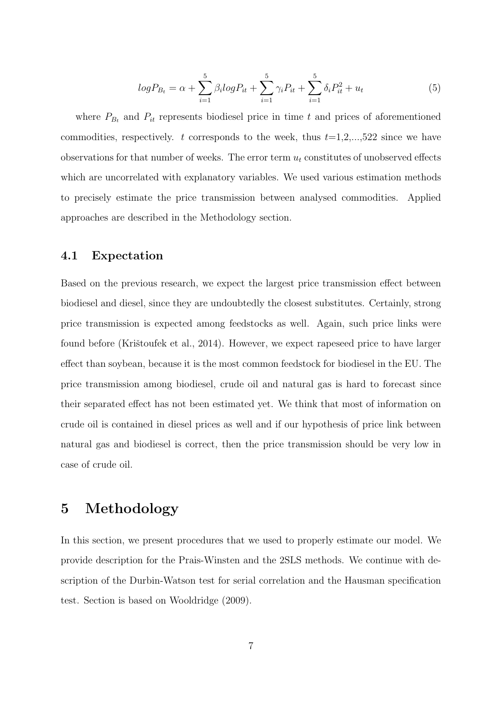$$
log P_{B_t} = \alpha + \sum_{i=1}^{5} \beta_i log P_{it} + \sum_{i=1}^{5} \gamma_i P_{it} + \sum_{i=1}^{5} \delta_i P_{it}^2 + u_t
$$
 (5)

where  $P_{B_t}$  and  $P_{it}$  represents biodiesel price in time t and prices of aforementioned commodities, respectively. t corresponds to the week, thus  $t=1,2,...,522$  since we have observations for that number of weeks. The error term  $u_t$  constitutes of unobserved effects which are uncorrelated with explanatory variables. We used various estimation methods to precisely estimate the price transmission between analysed commodities. Applied approaches are described in the Methodology section.

### 4.1 Expectation

Based on the previous research, we expect the largest price transmission effect between biodiesel and diesel, since they are undoubtedly the closest substitutes. Certainly, strong price transmission is expected among feedstocks as well. Again, such price links were found before (Krištoufek et al., 2014). However, we expect rapeseed price to have larger effect than soybean, because it is the most common feedstock for biodiesel in the EU. The price transmission among biodiesel, crude oil and natural gas is hard to forecast since their separated effect has not been estimated yet. We think that most of information on crude oil is contained in diesel prices as well and if our hypothesis of price link between natural gas and biodiesel is correct, then the price transmission should be very low in case of crude oil.

## 5 Methodology

In this section, we present procedures that we used to properly estimate our model. We provide description for the Prais-Winsten and the 2SLS methods. We continue with description of the Durbin-Watson test for serial correlation and the Hausman specification test. Section is based on Wooldridge (2009).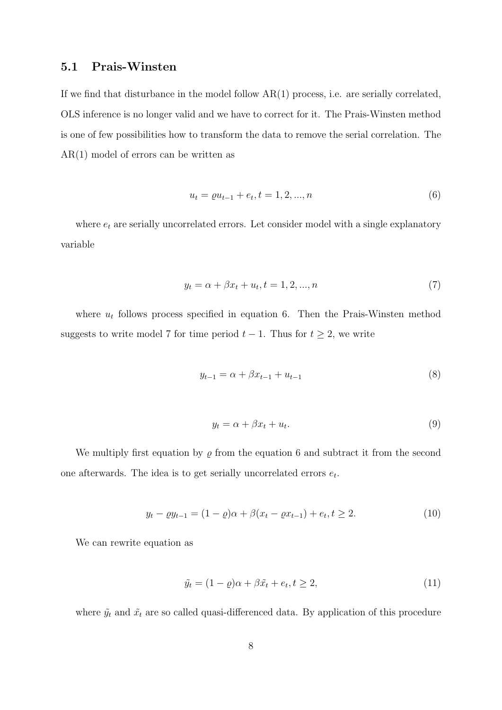### 5.1 Prais-Winsten

If we find that disturbance in the model follow AR(1) process, i.e. are serially correlated, OLS inference is no longer valid and we have to correct for it. The Prais-Winsten method is one of few possibilities how to transform the data to remove the serial correlation. The AR(1) model of errors can be written as

$$
u_t = \varrho u_{t-1} + e_t, t = 1, 2, ..., n
$$
\n<sup>(6)</sup>

where  $e_t$  are serially uncorrelated errors. Let consider model with a single explanatory variable

$$
y_t = \alpha + \beta x_t + u_t, t = 1, 2, ..., n
$$
\n(7)

where  $u_t$  follows process specified in equation 6. Then the Prais-Winsten method suggests to write model 7 for time period  $t - 1$ . Thus for  $t \geq 2$ , we write

$$
y_{t-1} = \alpha + \beta x_{t-1} + u_{t-1} \tag{8}
$$

$$
y_t = \alpha + \beta x_t + u_t. \tag{9}
$$

We multiply first equation by  $\varrho$  from the equation 6 and subtract it from the second one afterwards. The idea is to get serially uncorrelated errors  $e_t$ .

$$
y_t - \varrho y_{t-1} = (1 - \varrho)\alpha + \beta(x_t - \varrho x_{t-1}) + e_t, t \ge 2.
$$
 (10)

We can rewrite equation as

$$
\tilde{y}_t = (1 - \varrho)\alpha + \beta \tilde{x}_t + e_t, t \ge 2,\tag{11}
$$

where  $\tilde{y_t}$  and  $\tilde{x_t}$  are so called quasi-differenced data. By application of this procedure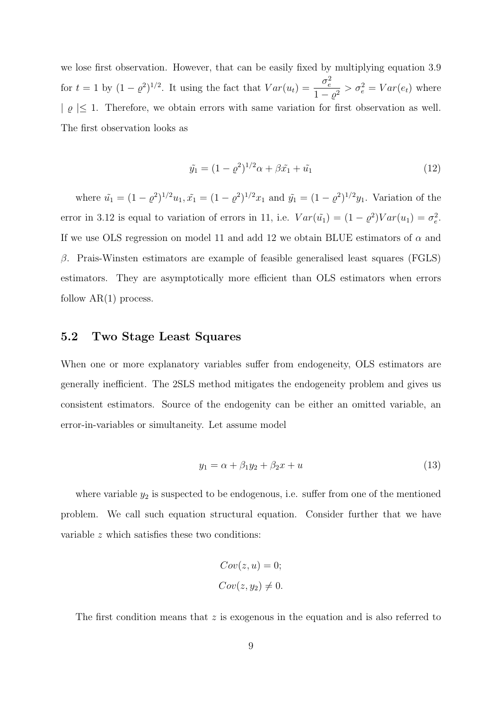we lose first observation. However, that can be easily fixed by multiplying equation 3.9 for  $t = 1$  by  $(1 - \varrho^2)^{1/2}$ . It using the fact that  $Var(u_t) = \frac{\sigma_e^2}{1}$  $\frac{\sigma_e}{1-\varrho^2} > \sigma_e^2 = Var(e_t)$  where  $| \varrho | \leq 1$ . Therefore, we obtain errors with same variation for first observation as well. The first observation looks as

$$
\tilde{y}_1 = (1 - \varrho^2)^{1/2} \alpha + \beta \tilde{x}_1 + \tilde{u}_1 \tag{12}
$$

where  $\tilde{u}_1 = (1 - \rho^2)^{1/2} u_1$ ,  $\tilde{x}_1 = (1 - \rho^2)^{1/2} x_1$  and  $\tilde{y}_1 = (1 - \rho^2)^{1/2} y_1$ . Variation of the error in 3.12 is equal to variation of errors in 11, i.e.  $Var(\tilde{u}_1) = (1 - \rho^2)Var(u_1) = \sigma_e^2$ . If we use OLS regression on model 11 and add 12 we obtain BLUE estimators of  $\alpha$  and  $β$ . Prais-Winsten estimators are example of feasible generalised least squares (FGLS) estimators. They are asymptotically more efficient than OLS estimators when errors follow  $AR(1)$  process.

### 5.2 Two Stage Least Squares

When one or more explanatory variables suffer from endogeneity, OLS estimators are generally inefficient. The 2SLS method mitigates the endogeneity problem and gives us consistent estimators. Source of the endogenity can be either an omitted variable, an error-in-variables or simultaneity. Let assume model

$$
y_1 = \alpha + \beta_1 y_2 + \beta_2 x + u \tag{13}
$$

where variable  $y_2$  is suspected to be endogenous, i.e. suffer from one of the mentioned problem. We call such equation structural equation. Consider further that we have variable z which satisfies these two conditions:

$$
Cov(z, u) = 0;
$$
  

$$
Cov(z, y_2) \neq 0.
$$

The first condition means that  $z$  is exogenous in the equation and is also referred to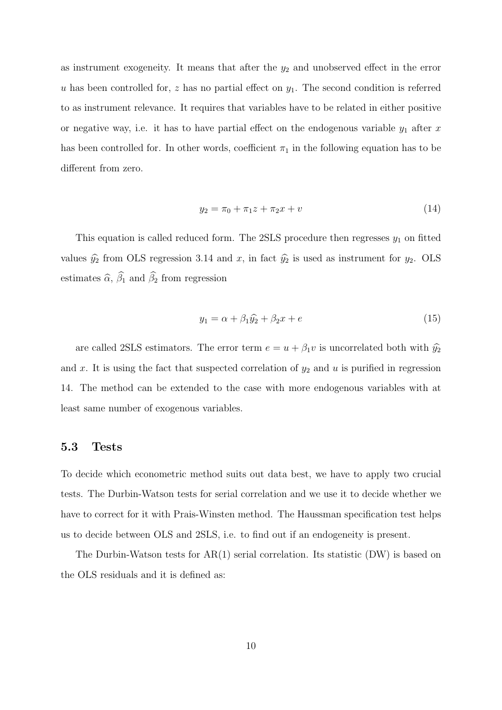as instrument exogeneity. It means that after the  $y_2$  and unobserved effect in the error u has been controlled for, z has no partial effect on  $y_1$ . The second condition is referred to as instrument relevance. It requires that variables have to be related in either positive or negative way, i.e. it has to have partial effect on the endogenous variable  $y_1$  after x has been controlled for. In other words, coefficient  $\pi_1$  in the following equation has to be different from zero.

$$
y_2 = \pi_0 + \pi_1 z + \pi_2 x + v \tag{14}
$$

This equation is called reduced form. The 2SLS procedure then regresses  $y_1$  on fitted values  $\hat{y}_2$  from OLS regression 3.14 and x, in fact  $\hat{y}_2$  is used as instrument for  $y_2$ . OLS estimates  $\widehat{\alpha}$ ,  $\widehat{\beta}_1$  and  $\widehat{\beta}_2$  from regression

$$
y_1 = \alpha + \beta_1 \hat{y}_2 + \beta_2 x + e \tag{15}
$$

are called 2SLS estimators. The error term  $e = u + \beta_1 v$  is uncorrelated both with  $\hat{y}_2$ and x. It is using the fact that suspected correlation of  $y_2$  and u is purified in regression 14. The method can be extended to the case with more endogenous variables with at least same number of exogenous variables.

#### 5.3 Tests

To decide which econometric method suits out data best, we have to apply two crucial tests. The Durbin-Watson tests for serial correlation and we use it to decide whether we have to correct for it with Prais-Winsten method. The Haussman specification test helps us to decide between OLS and 2SLS, i.e. to find out if an endogeneity is present.

The Durbin-Watson tests for AR(1) serial correlation. Its statistic (DW) is based on the OLS residuals and it is defined as: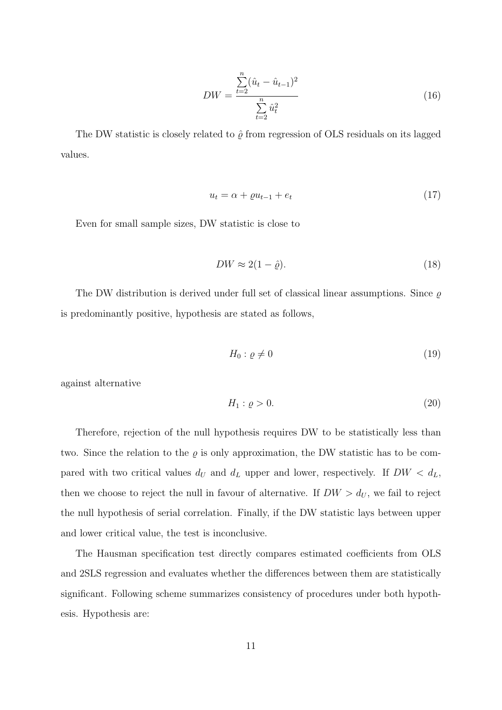$$
DW = \frac{\sum_{t=2}^{n} (\hat{u}_t - \hat{u}_{t-1})^2}{\sum_{t=2}^{n} \hat{u}_t^2}
$$
 (16)

The DW statistic is closely related to  $\hat{\varrho}$  from regression of OLS residuals on its lagged values.

$$
u_t = \alpha + \varrho u_{t-1} + e_t \tag{17}
$$

Even for small sample sizes, DW statistic is close to

$$
DW \approx 2(1 - \hat{\varrho}).\tag{18}
$$

The DW distribution is derived under full set of classical linear assumptions. Since  $\rho$ is predominantly positive, hypothesis are stated as follows,

$$
H_0: \varrho \neq 0 \tag{19}
$$

against alternative

$$
H_1: \varrho > 0. \tag{20}
$$

Therefore, rejection of the null hypothesis requires DW to be statistically less than two. Since the relation to the  $\varrho$  is only approximation, the DW statistic has to be compared with two critical values  $d_U$  and  $d_L$  upper and lower, respectively. If  $DW < d_L$ , then we choose to reject the null in favour of alternative. If  $DW > d_U$ , we fail to reject the null hypothesis of serial correlation. Finally, if the DW statistic lays between upper and lower critical value, the test is inconclusive.

The Hausman specification test directly compares estimated coefficients from OLS and 2SLS regression and evaluates whether the differences between them are statistically significant. Following scheme summarizes consistency of procedures under both hypothesis. Hypothesis are: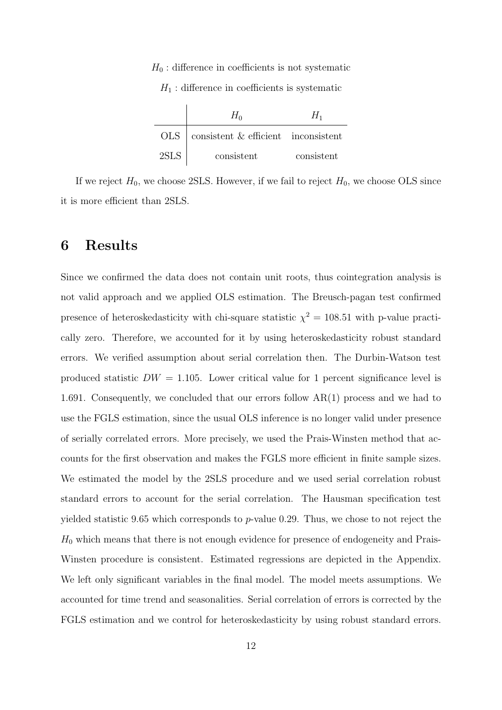$H_0$ : difference in coefficients is not systematic

 $H_1$ : difference in coefficients is systematic

|      | $OLS$   consistent & efficient inconsistent |            |
|------|---------------------------------------------|------------|
| 2SLS | consistent                                  | consistent |

If we reject  $H_0$ , we choose 2SLS. However, if we fail to reject  $H_0$ , we choose OLS since it is more efficient than 2SLS.

### 6 Results

Since we confirmed the data does not contain unit roots, thus cointegration analysis is not valid approach and we applied OLS estimation. The Breusch-pagan test confirmed presence of heteroskedasticity with chi-square statistic  $\chi^2 = 108.51$  with p-value practically zero. Therefore, we accounted for it by using heteroskedasticity robust standard errors. We verified assumption about serial correlation then. The Durbin-Watson test produced statistic  $DW = 1.105$ . Lower critical value for 1 percent significance level is 1.691. Consequently, we concluded that our errors follow AR(1) process and we had to use the FGLS estimation, since the usual OLS inference is no longer valid under presence of serially correlated errors. More precisely, we used the Prais-Winsten method that accounts for the first observation and makes the FGLS more efficient in finite sample sizes. We estimated the model by the 2SLS procedure and we used serial correlation robust standard errors to account for the serial correlation. The Hausman specification test yielded statistic 9.65 which corresponds to  $p$ -value 0.29. Thus, we chose to not reject the  $H_0$  which means that there is not enough evidence for presence of endogeneity and Prais-Winsten procedure is consistent. Estimated regressions are depicted in the Appendix. We left only significant variables in the final model. The model meets assumptions. We accounted for time trend and seasonalities. Serial correlation of errors is corrected by the FGLS estimation and we control for heteroskedasticity by using robust standard errors.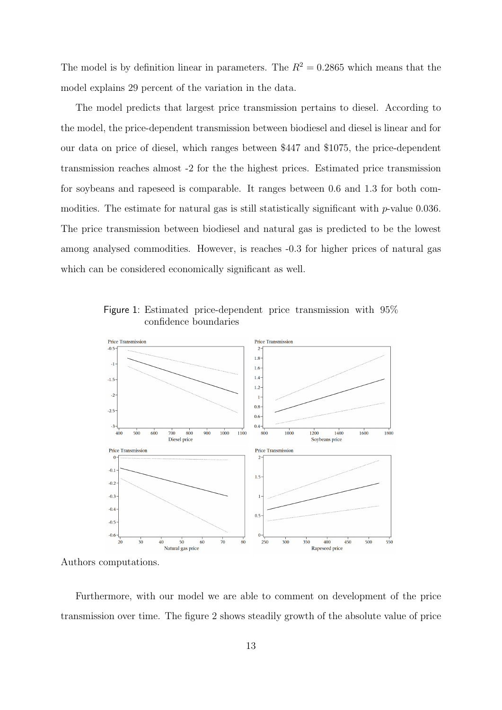The model is by definition linear in parameters. The  $R^2 = 0.2865$  which means that the model explains 29 percent of the variation in the data.

The model predicts that largest price transmission pertains to diesel. According to the model, the price-dependent transmission between biodiesel and diesel is linear and for our data on price of diesel, which ranges between \$447 and \$1075, the price-dependent transmission reaches almost -2 for the the highest prices. Estimated price transmission for soybeans and rapeseed is comparable. It ranges between 0.6 and 1.3 for both commodities. The estimate for natural gas is still statistically significant with p-value 0.036. The price transmission between biodiesel and natural gas is predicted to be the lowest among analysed commodities. However, is reaches -0.3 for higher prices of natural gas which can be considered economically significant as well.

Figure 1: Estimated price-dependent price transmission with 95% confidence boundaries



Authors computations.

Furthermore, with our model we are able to comment on development of the price transmission over time. The figure 2 shows steadily growth of the absolute value of price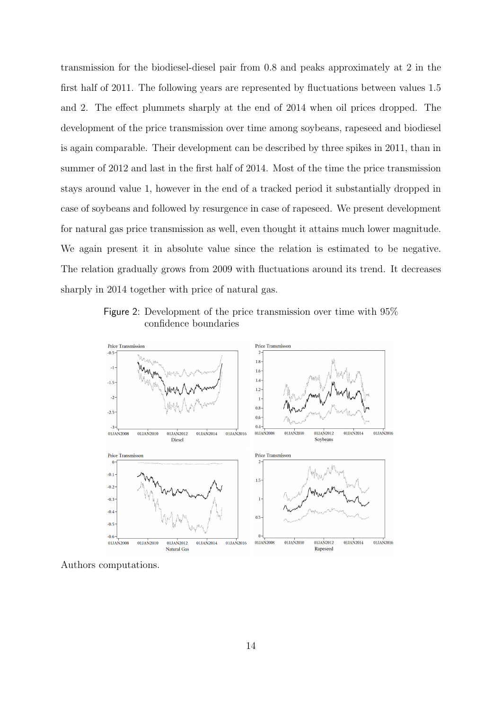transmission for the biodiesel-diesel pair from 0.8 and peaks approximately at 2 in the first half of 2011. The following years are represented by fluctuations between values 1.5 and 2. The effect plummets sharply at the end of 2014 when oil prices dropped. The development of the price transmission over time among soybeans, rapeseed and biodiesel is again comparable. Their development can be described by three spikes in 2011, than in summer of 2012 and last in the first half of 2014. Most of the time the price transmission stays around value 1, however in the end of a tracked period it substantially dropped in case of soybeans and followed by resurgence in case of rapeseed. We present development for natural gas price transmission as well, even thought it attains much lower magnitude. We again present it in absolute value since the relation is estimated to be negative. The relation gradually grows from 2009 with fluctuations around its trend. It decreases sharply in 2014 together with price of natural gas.

Figure 2: Development of the price transmission over time with 95% confidence boundaries



Authors computations.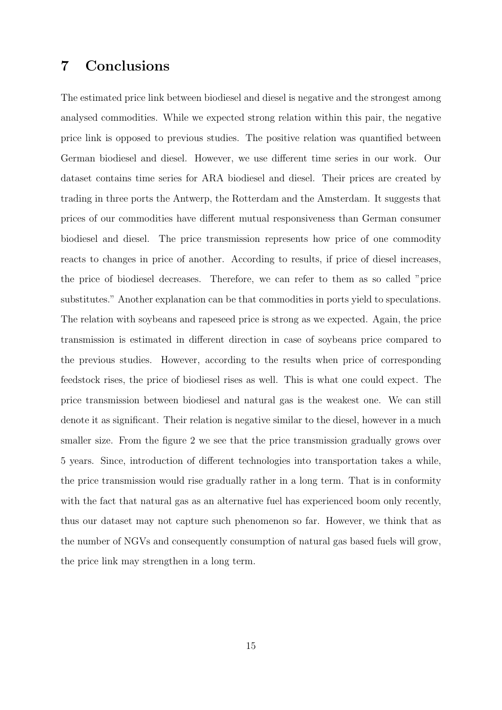## 7 Conclusions

The estimated price link between biodiesel and diesel is negative and the strongest among analysed commodities. While we expected strong relation within this pair, the negative price link is opposed to previous studies. The positive relation was quantified between German biodiesel and diesel. However, we use different time series in our work. Our dataset contains time series for ARA biodiesel and diesel. Their prices are created by trading in three ports the Antwerp, the Rotterdam and the Amsterdam. It suggests that prices of our commodities have different mutual responsiveness than German consumer biodiesel and diesel. The price transmission represents how price of one commodity reacts to changes in price of another. According to results, if price of diesel increases, the price of biodiesel decreases. Therefore, we can refer to them as so called "price substitutes." Another explanation can be that commodities in ports yield to speculations. The relation with soybeans and rapeseed price is strong as we expected. Again, the price transmission is estimated in different direction in case of soybeans price compared to the previous studies. However, according to the results when price of corresponding feedstock rises, the price of biodiesel rises as well. This is what one could expect. The price transmission between biodiesel and natural gas is the weakest one. We can still denote it as significant. Their relation is negative similar to the diesel, however in a much smaller size. From the figure 2 we see that the price transmission gradually grows over 5 years. Since, introduction of different technologies into transportation takes a while, the price transmission would rise gradually rather in a long term. That is in conformity with the fact that natural gas as an alternative fuel has experienced boom only recently, thus our dataset may not capture such phenomenon so far. However, we think that as the number of NGVs and consequently consumption of natural gas based fuels will grow, the price link may strengthen in a long term.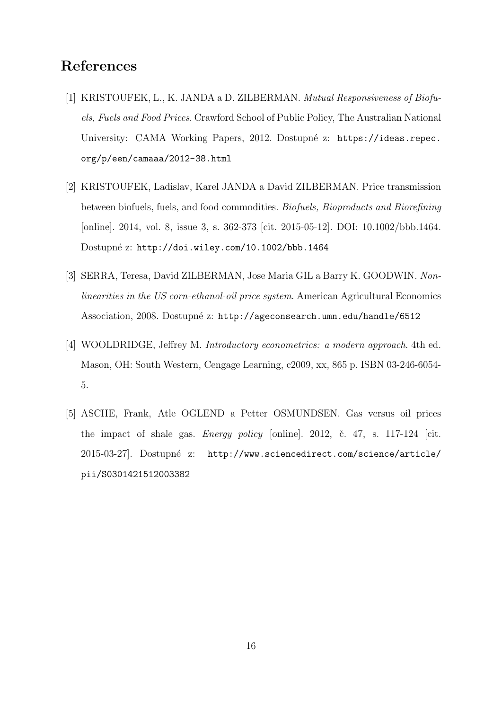## References

- [1] KRISTOUFEK, L., K. JANDA a D. ZILBERMAN. Mutual Responsiveness of Biofuels, Fuels and Food Prices. Crawford School of Public Policy, The Australian National University: CAMA Working Papers, 2012. Dostupné z: https://ideas.repec. org/p/een/camaaa/2012-38.html
- [2] KRISTOUFEK, Ladislav, Karel JANDA a David ZILBERMAN. Price transmission between biofuels, fuels, and food commodities. Biofuels, Bioproducts and Biorefining [online]. 2014, vol. 8, issue 3, s. 362-373 [cit. 2015-05-12]. DOI: 10.1002/bbb.1464. Dostupné z: http://doi.wiley.com/10.1002/bbb.1464
- [3] SERRA, Teresa, David ZILBERMAN, Jose Maria GIL a Barry K. GOODWIN. Nonlinearities in the US corn-ethanol-oil price system. American Agricultural Economics Association, 2008. Dostupné z: http://ageconsearch.umn.edu/handle/6512
- [4] WOOLDRIDGE, Jeffrey M. Introductory econometrics: a modern approach. 4th ed. Mason, OH: South Western, Cengage Learning, c2009, xx, 865 p. ISBN 03-246-6054- 5.
- [5] ASCHE, Frank, Atle OGLEND a Petter OSMUNDSEN. Gas versus oil prices the impact of shale gas. *Energy policy* [online]. 2012, č. 47, s. 117-124 [cit. 2015-03-27]. Dostupné z: http://www.sciencedirect.com/science/article/ pii/S0301421512003382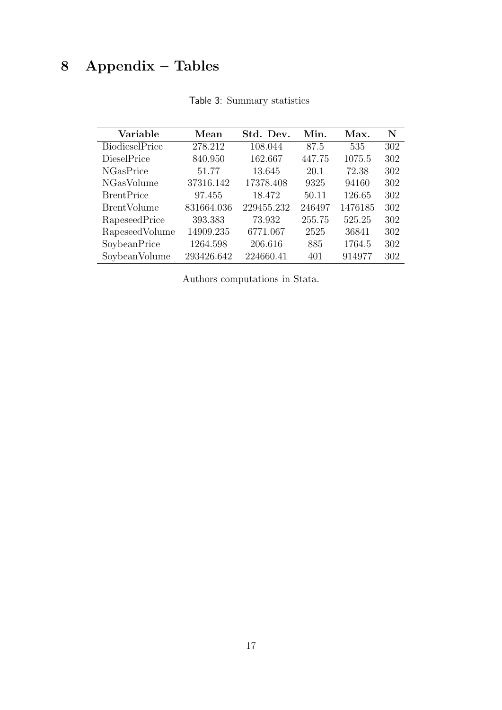# 8 Appendix – Tables

| Variable           | Mean       | Std. Dev.  | Min.   | Max.    | N   |
|--------------------|------------|------------|--------|---------|-----|
| BiodieselPrice     | 278.212    | 108.044    | 87.5   | 535     | 302 |
| DieselPrice        | 840.950    | 162.667    | 447.75 | 1075.5  | 302 |
| <b>NGasPrice</b>   | 51.77      | 13.645     | 20.1   | 72.38   | 302 |
| <b>NGasVolume</b>  | 37316.142  | 17378.408  | 9325   | 94160   | 302 |
| <b>BrentPrice</b>  | 97.455     | 18.472     | 50.11  | 126.65  | 302 |
| <b>BrentVolume</b> | 831664.036 | 229455.232 | 246497 | 1476185 | 302 |
| RapeseedPrice      | 393.383    | 73.932     | 255.75 | 525.25  | 302 |
| RapeseedVolume     | 14909.235  | 6771.067   | 2525   | 36841   | 302 |
| SoybeanPrice       | 1264.598   | 206.616    | 885    | 1764.5  | 302 |
| SoybeanVolume      | 293426.642 | 224660.41  | 401    | 914977  | 302 |

| Table 3: Summary statistics |  |
|-----------------------------|--|
|                             |  |

Authors computations in Stata.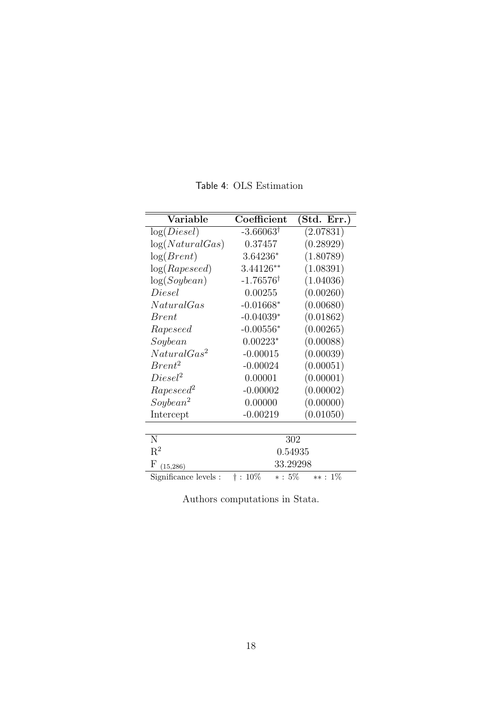| Variable                | Coefficient                  | (Std. Err.) |  |
|-------------------------|------------------------------|-------------|--|
| log(Diesel)             | $-3.66063^{\dagger}$         | (2.07831)   |  |
| log(Natural Gas)        | 0.37457                      | (0.28929)   |  |
| log(Brent)              | 3.64236*                     | (1.80789)   |  |
| log(Rapeseed)           | 3.44126**                    | (1.08391)   |  |
| log(Soybean)            | $-1.76576^{\dagger}$         | (1.04036)   |  |
| Diesel                  | 0.00255                      | (0.00260)   |  |
| NaturalGas              | $-0.01668*$                  | (0.00680)   |  |
| <i>Brent</i>            | $-0.04039*$                  | (0.01862)   |  |
| Rapeseed                | $-0.00556*$                  | (0.00265)   |  |
| Soybean                 | $0.00223*$                   | (0.00088)   |  |
| NaturalGas <sup>2</sup> | $-0.00015$                   | (0.00039)   |  |
| $Brent^2$               | $-0.00024$                   | (0.00051)   |  |
| $Diesel^2$              | 0.00001                      | (0.00001)   |  |
| Rapeseed <sup>2</sup>   | $-0.00002$                   | (0.00002)   |  |
| Soybean <sup>2</sup>    | 0.00000                      | (0.00000)   |  |
| Intercept               | $-0.00219$                   | (0.01050)   |  |
|                         |                              |             |  |
| N                       |                              | 302         |  |
| $\mathrm{R}^2$          | 0.54935                      |             |  |
| $_{\rm F}$<br>(15, 286) | 33.29298                     |             |  |
| Significance levels :   | $* : 5\%$<br>$\dagger$ : 10% | $**: 1\%$   |  |

Table 4: OLS Estimation

Authors computations in Stata.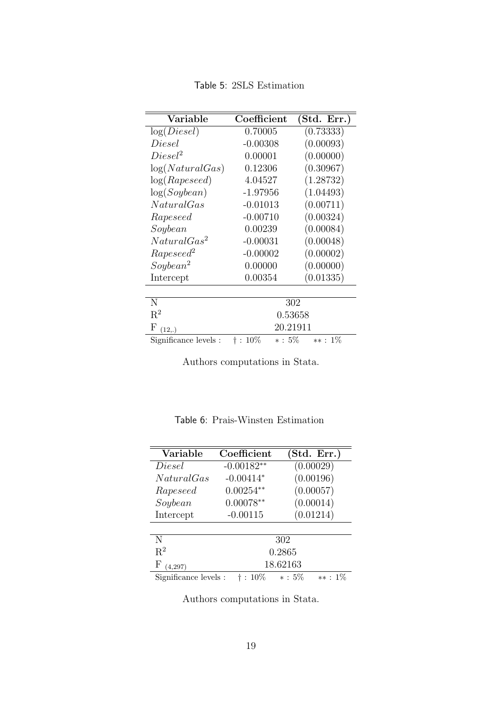Table 5: 2SLS Estimation

| Variable                 | Coefficient                       | (Std. Err.) |  |  |
|--------------------------|-----------------------------------|-------------|--|--|
| log(Diesel)              | 0.70005                           | (0.73333)   |  |  |
| Diesel                   | $-0.00308$                        | (0.00093)   |  |  |
| $Diesel^2$               | 0.00001                           | (0.00000)   |  |  |
| log(Natural Gas)         | 0.12306                           | (0.30967)   |  |  |
| log(Rapeseed)            | 4.04527                           | (1.28732)   |  |  |
| log(Soybean)             | -1.97956                          | (1.04493)   |  |  |
| NaturalGas               | $-0.01013$                        | (0.00711)   |  |  |
| Rapeseed                 | $-0.00710$                        | (0.00324)   |  |  |
| Soybean                  | 0.00239                           | (0.00084)   |  |  |
| Natural Gas <sup>2</sup> | $-0.00031$                        | (0.00048)   |  |  |
| Rapeseed <sup>2</sup>    | $-0.00002$                        | (0.00002)   |  |  |
| Soybean <sup>2</sup>     | 0.00000                           | (0.00000)   |  |  |
| Intercept                | 0.00354                           | (0.01335)   |  |  |
|                          |                                   |             |  |  |
| N                        |                                   | 302         |  |  |
| $R^2$                    |                                   | 0.53658     |  |  |
| F<br>(12,.)              |                                   | 20.21911    |  |  |
| Significance levels :    | $\ast: \, 5\%$<br>$\dagger$ : 10% | $**: 1\%$   |  |  |

Authors computations in Stata.

| Variable              | Coefficient  |           | (Std. Err.) |
|-----------------------|--------------|-----------|-------------|
| Diesel                | $-0.00182**$ |           | (0.00029)   |
| NaturalGas            | $-0.00414*$  |           | (0.00196)   |
| Rapeseed              | $0.00254**$  |           | (0.00057)   |
| Soybean               | $0.00078**$  |           | (0.00014)   |
| Intercept             | $-0.00115$   |           | (0.01214)   |
|                       |              |           |             |
| N                     |              | 302       |             |
| $R^2$                 |              | 0.2865    |             |
| F<br>(4, 297)         |              | 18.62163  |             |
| Significance levels : | $:10\%$      | $* : 5\%$ | $**: 1\%$   |

Table 6: Prais-Winsten Estimation

Authors computations in Stata.